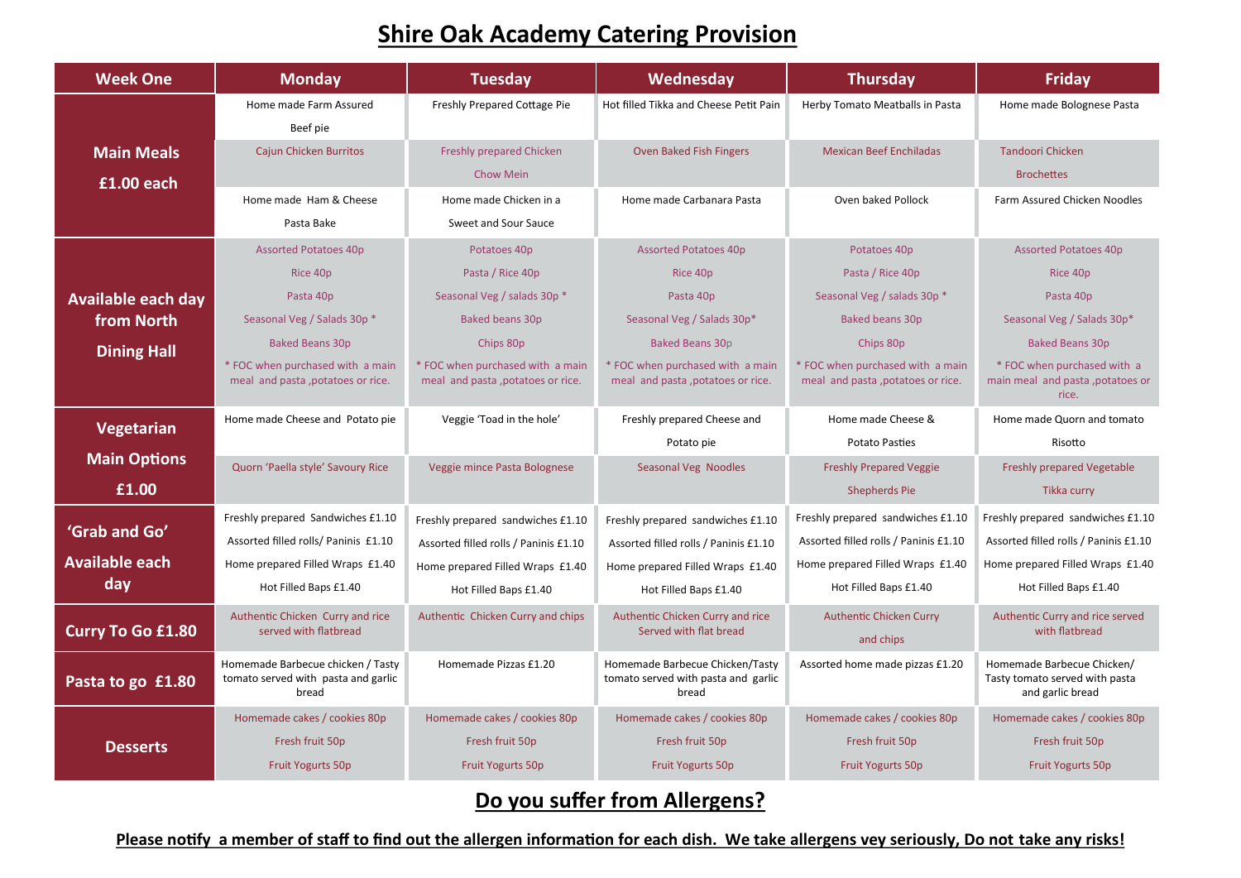## **Shire Oak Academy Catering Provision**

| <b>Week One</b>           | <b>Monday</b>                                                                     | <b>Tuesday</b>                                                        | Wednesday                                                                       | <b>Thursday</b>                                                       | <b>Friday</b>                                                                    |
|---------------------------|-----------------------------------------------------------------------------------|-----------------------------------------------------------------------|---------------------------------------------------------------------------------|-----------------------------------------------------------------------|----------------------------------------------------------------------------------|
|                           | Home made Farm Assured                                                            | Freshly Prepared Cottage Pie                                          | Hot filled Tikka and Cheese Petit Pain                                          | Herby Tomato Meatballs in Pasta                                       | Home made Bolognese Pasta                                                        |
|                           | Beef pie                                                                          |                                                                       |                                                                                 |                                                                       |                                                                                  |
| <b>Main Meals</b>         | <b>Cajun Chicken Burritos</b>                                                     | <b>Freshly prepared Chicken</b>                                       | Oven Baked Fish Fingers                                                         | <b>Mexican Beef Enchiladas</b>                                        | <b>Tandoori Chicken</b>                                                          |
| £1.00 each                |                                                                                   | Chow Mein                                                             |                                                                                 |                                                                       | <b>Brochettes</b>                                                                |
|                           | Home made Ham & Cheese                                                            | Home made Chicken in a                                                | Home made Carbanara Pasta                                                       | Oven baked Pollock                                                    | Farm Assured Chicken Noodles                                                     |
|                           | Pasta Bake                                                                        | Sweet and Sour Sauce                                                  |                                                                                 |                                                                       |                                                                                  |
|                           | <b>Assorted Potatoes 40p</b>                                                      | Potatoes 40p                                                          | <b>Assorted Potatoes 40p</b>                                                    | Potatoes 40p                                                          | <b>Assorted Potatoes 40p</b>                                                     |
|                           | Rice 40p                                                                          | Pasta / Rice 40p                                                      | Rice 40p                                                                        | Pasta / Rice 40p                                                      | Rice 40p                                                                         |
| <b>Available each day</b> | Pasta 40p                                                                         | Seasonal Veg / salads 30p *                                           | Pasta 40p                                                                       | Seasonal Veg / salads 30p *                                           | Pasta 40p                                                                        |
| from North                | Seasonal Veg / Salads 30p *                                                       | <b>Baked beans 30p</b>                                                | Seasonal Veg / Salads 30p*                                                      | <b>Baked beans 30p</b>                                                | Seasonal Veg / Salads 30p*                                                       |
| <b>Dining Hall</b>        | <b>Baked Beans 30p</b>                                                            | Chips 80p                                                             | <b>Baked Beans 30p</b>                                                          | Chips 80p                                                             | <b>Baked Beans 30p</b>                                                           |
|                           | * FOC when purchased with a main<br>meal and pasta, potatoes or rice.             | * FOC when purchased with a main<br>meal and pasta, potatoes or rice. | * FOC when purchased with a main<br>meal and pasta, potatoes or rice.           | * FOC when purchased with a main<br>meal and pasta, potatoes or rice. | * FOC when purchased with a<br>main meal and pasta, potatoes or<br>rice.         |
| Vegetarian                | Home made Cheese and Potato pie                                                   | Veggie 'Toad in the hole'                                             | Freshly prepared Cheese and                                                     | Home made Cheese &                                                    | Home made Quorn and tomato                                                       |
|                           |                                                                                   |                                                                       | Potato pie                                                                      | <b>Potato Pasties</b>                                                 | Risotto                                                                          |
| <b>Main Options</b>       | Quorn 'Paella style' Savoury Rice                                                 | Veggie mince Pasta Bolognese                                          | Seasonal Veg Noodles                                                            | <b>Freshly Prepared Veggie</b>                                        | Freshly prepared Vegetable                                                       |
| £1.00                     |                                                                                   |                                                                       |                                                                                 | <b>Shepherds Pie</b>                                                  | Tikka curry                                                                      |
|                           | Freshly prepared Sandwiches £1.10                                                 | Freshly prepared sandwiches £1.10                                     | Freshly prepared sandwiches £1.10                                               | Freshly prepared sandwiches £1.10                                     | Freshly prepared sandwiches £1.10                                                |
| 'Grab and Go'             | Assorted filled rolls/ Paninis £1.10                                              | Assorted filled rolls / Paninis £1.10                                 | Assorted filled rolls / Paninis £1.10                                           | Assorted filled rolls / Paninis £1.10                                 | Assorted filled rolls / Paninis £1.10                                            |
| <b>Available each</b>     | Home prepared Filled Wraps £1.40                                                  | Home prepared Filled Wraps £1.40                                      | Home prepared Filled Wraps £1.40                                                | Home prepared Filled Wraps £1.40                                      | Home prepared Filled Wraps £1.40                                                 |
| day                       | Hot Filled Baps £1.40                                                             | Hot Filled Baps £1.40                                                 | Hot Filled Baps £1.40                                                           | Hot Filled Baps £1.40                                                 | Hot Filled Baps £1.40                                                            |
| <b>Curry To Go £1.80</b>  | Authentic Chicken Curry and rice<br>served with flatbread                         | Authentic Chicken Curry and chips                                     | Authentic Chicken Curry and rice<br>Served with flat bread                      | <b>Authentic Chicken Curry</b><br>and chips                           | Authentic Curry and rice served<br>with flatbread                                |
| Pasta to go £1.80         | Homemade Barbecue chicken / Tasty<br>tomato served with pasta and garlic<br>bread | Homemade Pizzas £1.20                                                 | Homemade Barbecue Chicken/Tasty<br>tomato served with pasta and garlic<br>bread | Assorted home made pizzas £1.20                                       | Homemade Barbecue Chicken/<br>Tasty tomato served with pasta<br>and garlic bread |
|                           | Homemade cakes / cookies 80p                                                      | Homemade cakes / cookies 80p                                          | Homemade cakes / cookies 80p                                                    | Homemade cakes / cookies 80p                                          | Homemade cakes / cookies 80p                                                     |
| <b>Desserts</b>           | Fresh fruit 50p                                                                   | Fresh fruit 50p                                                       | Fresh fruit 50p                                                                 | Fresh fruit 50p                                                       | Fresh fruit 50p                                                                  |
|                           | <b>Fruit Yogurts 50p</b>                                                          | <b>Fruit Yogurts 50p</b>                                              | <b>Fruit Yogurts 50p</b>                                                        | <b>Fruit Yogurts 50p</b>                                              | Fruit Yogurts 50p                                                                |

**Do you suffer from Allergens?** 

**Please notify a member of staff to find out the allergen information for each dish. We take allergens vey seriously, Do not take any risks!**